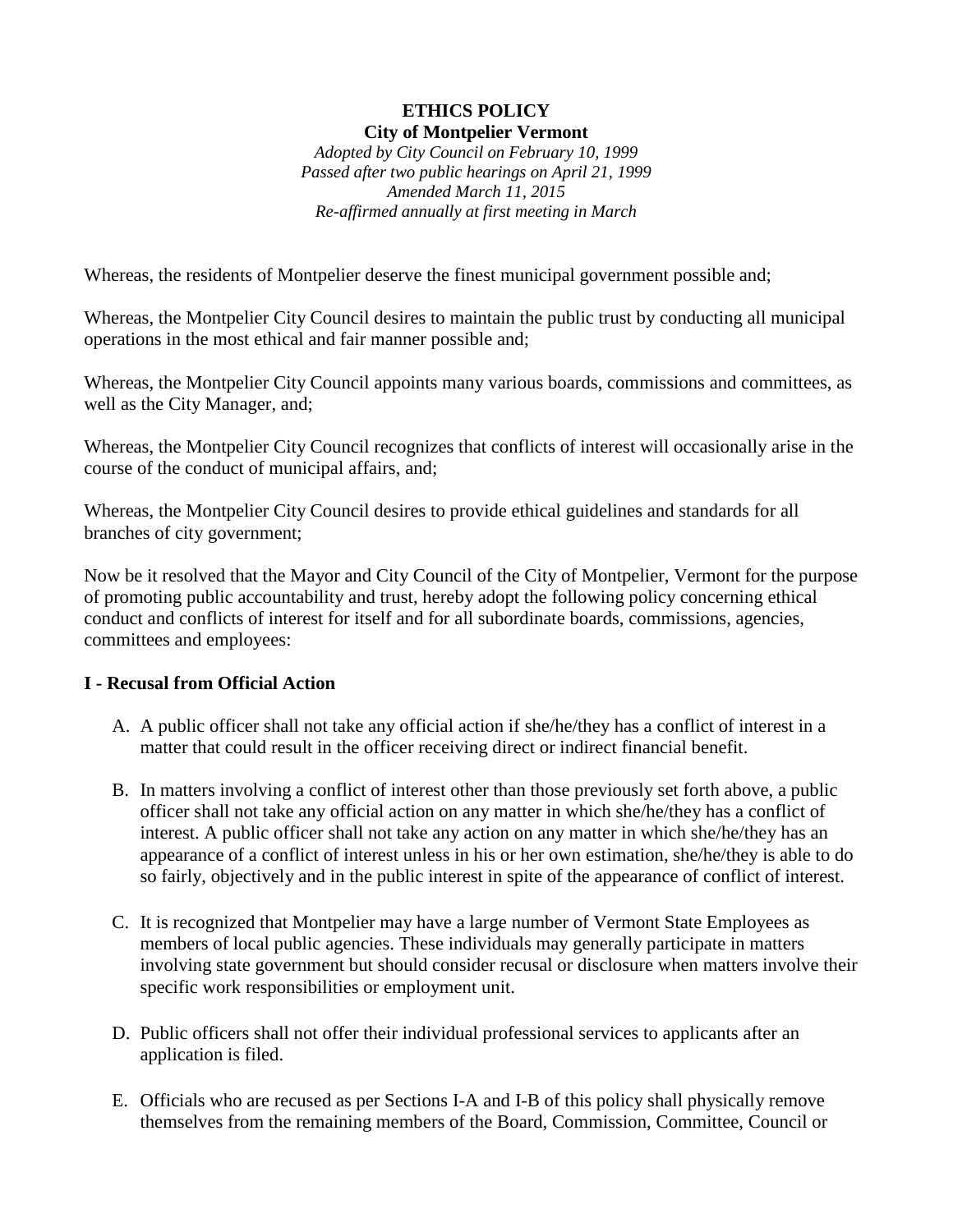# **ETHICS POLICY City of Montpelier Vermont**

*Adopted by City Council on February 10, 1999 Passed after two public hearings on April 21, 1999 Amended March 11, 2015 Re-affirmed annually at first meeting in March*

Whereas, the residents of Montpelier deserve the finest municipal government possible and;

Whereas, the Montpelier City Council desires to maintain the public trust by conducting all municipal operations in the most ethical and fair manner possible and;

Whereas, the Montpelier City Council appoints many various boards, commissions and committees, as well as the City Manager, and;

Whereas, the Montpelier City Council recognizes that conflicts of interest will occasionally arise in the course of the conduct of municipal affairs, and;

Whereas, the Montpelier City Council desires to provide ethical guidelines and standards for all branches of city government;

Now be it resolved that the Mayor and City Council of the City of Montpelier, Vermont for the purpose of promoting public accountability and trust, hereby adopt the following policy concerning ethical conduct and conflicts of interest for itself and for all subordinate boards, commissions, agencies, committees and employees:

### **I - Recusal from Official Action**

- A. A public officer shall not take any official action if she/he/they has a conflict of interest in a matter that could result in the officer receiving direct or indirect financial benefit.
- B. In matters involving a conflict of interest other than those previously set forth above, a public officer shall not take any official action on any matter in which she/he/they has a conflict of interest. A public officer shall not take any action on any matter in which she/he/they has an appearance of a conflict of interest unless in his or her own estimation, she/he/they is able to do so fairly, objectively and in the public interest in spite of the appearance of conflict of interest.
- C. It is recognized that Montpelier may have a large number of Vermont State Employees as members of local public agencies. These individuals may generally participate in matters involving state government but should consider recusal or disclosure when matters involve their specific work responsibilities or employment unit.
- D. Public officers shall not offer their individual professional services to applicants after an application is filed.
- E. Officials who are recused as per Sections I-A and I-B of this policy shall physically remove themselves from the remaining members of the Board, Commission, Committee, Council or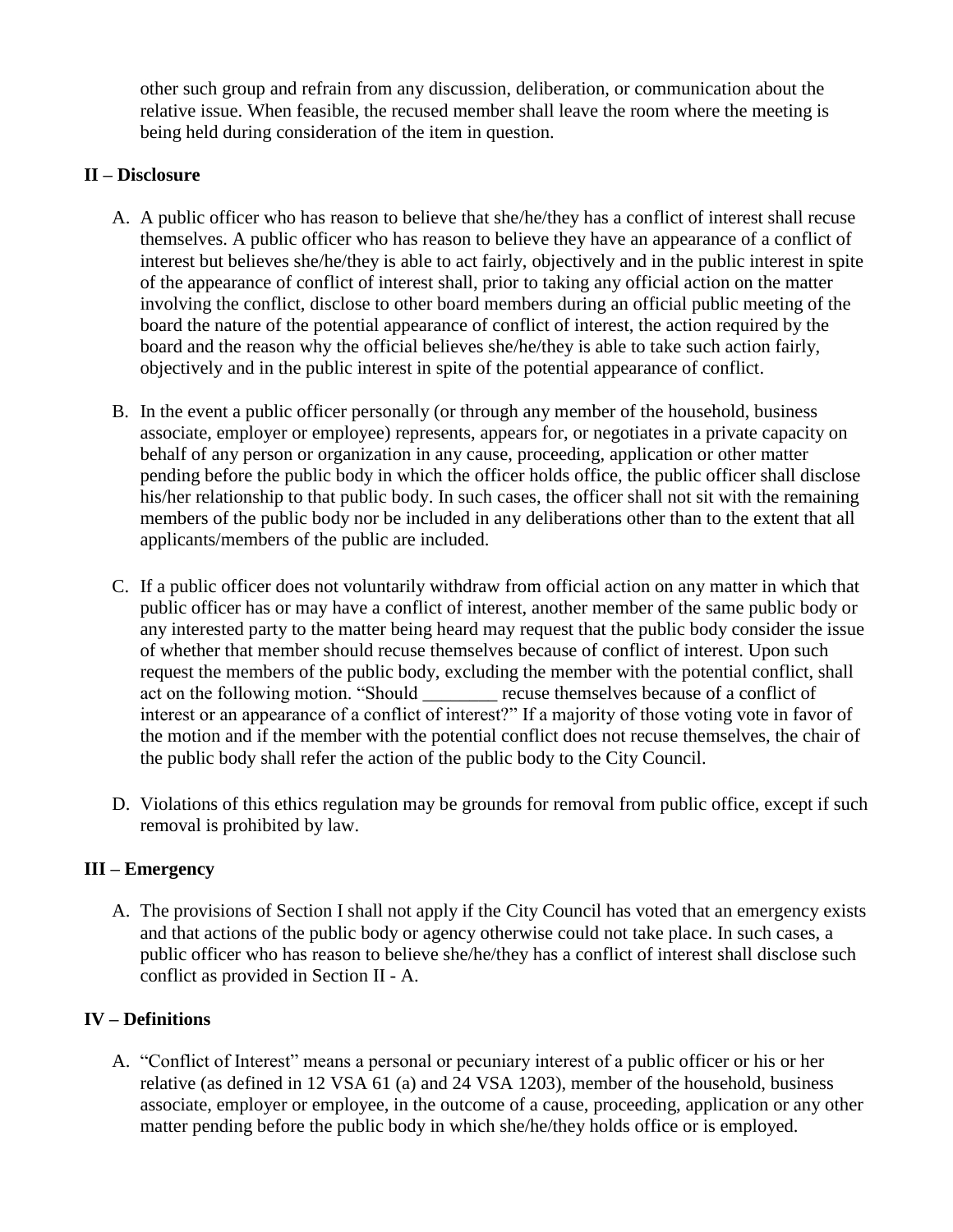other such group and refrain from any discussion, deliberation, or communication about the relative issue. When feasible, the recused member shall leave the room where the meeting is being held during consideration of the item in question.

## **II – Disclosure**

- A. A public officer who has reason to believe that she/he/they has a conflict of interest shall recuse themselves. A public officer who has reason to believe they have an appearance of a conflict of interest but believes she/he/they is able to act fairly, objectively and in the public interest in spite of the appearance of conflict of interest shall, prior to taking any official action on the matter involving the conflict, disclose to other board members during an official public meeting of the board the nature of the potential appearance of conflict of interest, the action required by the board and the reason why the official believes she/he/they is able to take such action fairly, objectively and in the public interest in spite of the potential appearance of conflict.
- B. In the event a public officer personally (or through any member of the household, business associate, employer or employee) represents, appears for, or negotiates in a private capacity on behalf of any person or organization in any cause, proceeding, application or other matter pending before the public body in which the officer holds office, the public officer shall disclose his/her relationship to that public body. In such cases, the officer shall not sit with the remaining members of the public body nor be included in any deliberations other than to the extent that all applicants/members of the public are included.
- C. If a public officer does not voluntarily withdraw from official action on any matter in which that public officer has or may have a conflict of interest, another member of the same public body or any interested party to the matter being heard may request that the public body consider the issue of whether that member should recuse themselves because of conflict of interest. Upon such request the members of the public body, excluding the member with the potential conflict, shall act on the following motion. "Should recuse themselves because of a conflict of interest or an appearance of a conflict of interest?" If a majority of those voting vote in favor of the motion and if the member with the potential conflict does not recuse themselves, the chair of the public body shall refer the action of the public body to the City Council.
- D. Violations of this ethics regulation may be grounds for removal from public office, except if such removal is prohibited by law.

### **III – Emergency**

A. The provisions of Section I shall not apply if the City Council has voted that an emergency exists and that actions of the public body or agency otherwise could not take place. In such cases, a public officer who has reason to believe she/he/they has a conflict of interest shall disclose such conflict as provided in Section II - A.

## **IV – Definitions**

A. "Conflict of Interest" means a personal or pecuniary interest of a public officer or his or her relative (as defined in 12 VSA 61 (a) and 24 VSA 1203), member of the household, business associate, employer or employee, in the outcome of a cause, proceeding, application or any other matter pending before the public body in which she/he/they holds office or is employed.